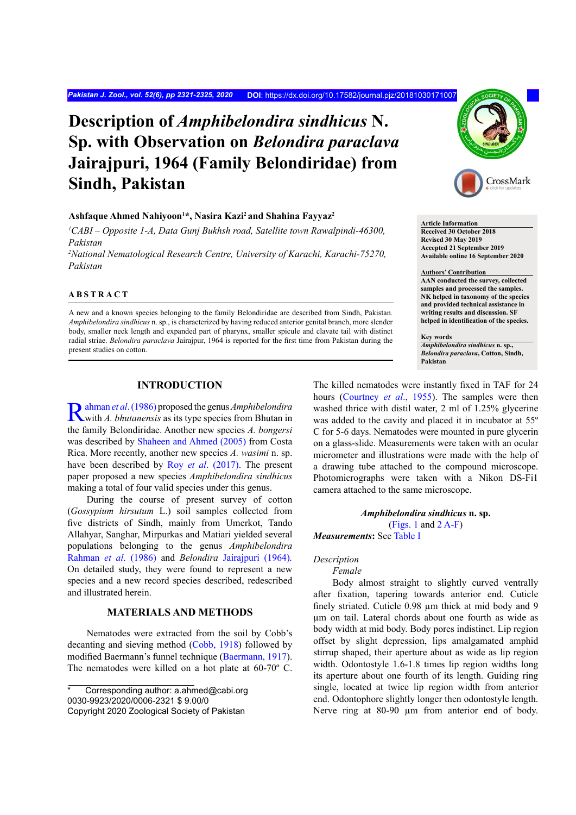*Pakistan J. Zool., vol. 52(6), pp 2321-2325, 2020* **DOI**:<https://dx.doi.org/10.17582/journal.pjz/20181030171007>

# **Description of** *Amphibelondira sindhicus* **N. Sp. with Observation on** *Belondira paraclava* **Jairajpuri, 1964 (Family Belondiridae) from Sindh, Pakistan**

#### **Ashfaque Ahmed Nahiyoon1 \*, Nasira Kazi2 and Shahina Fayyaz2**

<sup>1</sup>CABI – Opposite 1-A, Data Gunj Bukhsh road, Satellite town Rawalpindi-46300, *Pakistan*

*2 National Nematological Research Centre, University of Karachi, Karachi-75270, Pakistan*

# **ABSTRACT**

A new and a known species belonging to the family Belondiridae are described from Sindh, Pakistan*. Amphibelondira sindhicus* n. sp., is characterized by having reduced anterior genital branch, more slender body, smaller neck length and expanded part of pharynx, smaller spicule and clavate tail with distinct radial striae. *Belondira paraclava* Jairajpur, 1964 is reported for the first time from Pakistan during the present studies on cotton.

## **INTRODUCTION**

[Rahman](#page-4-0) *et al*. (1986) proposed the genus *Amphibelondira* with *A. bhutanensis* as its type species from Bhutan in the family Belondiridae. Another new species *A. bongersi* was described by [Shaheen and Ahmed \(2005\)](#page-4-1) from Costa Rica. More recently, another new species *A. wasimi* n. sp. have been described by Roy *et al*[. \(2017\).](#page-4-2) The present paper proposed a new species *Amphibelondira sindhicus* making a total of four valid species under this genus.

During the course of present survey of cotton (*Gossypium hirsutum* L.) soil samples collected from five districts of Sindh, mainly from Umerkot, Tando Allahyar, Sanghar, Mirpurkas and Matiari yielded several populations belonging to the genus *Amphibelondira* [Rahman](#page-4-0) *et al*. (1986) and *Belondira* [Jairajpuri \(1964](#page-4-3))*.*  On detailed study, they were found to represent a new species and a new record species described, redescribed and illustrated herein.

# **MATERIALS AND METHODS**

Nematodes were extracted from the soil by Cobb's decanting and sieving method ([Cobb, 1918\)](#page-4-4) followed by modified Baermann's funnel technique ([Baermann, 1917](#page-4-5)). The nematodes were killed on a hot plate at 60-70º C.



**Article Information Received 30 October 2018 Revised 30 May 2019 Accepted 21 September 2019 Available online 16 September 2020**

#### **Authors' Contribution**

**AAN conducted the survey, collected samples and processed the samples. NK helped in taxonomy of the species and provided technical assistance in writing results and discussion. SF helped in identification of the species.** 

**Key words**

*Amphibelondira sindhicus* **n. sp.,**  *Belondira paraclava***, Cotton, Sindh, Pakistan**

The killed nematodes were instantly fixed in TAF for 24 hours [\(Courtney](#page-4-6) *et al*., 1955). The samples were then washed thrice with distil water, 2 ml of 1.25% glycerine was added to the cavity and placed it in incubator at 55º C for 5-6 days. Nematodes were mounted in pure glycerin on a glass-slide. Measurements were taken with an ocular micrometer and illustrations were made with the help of a drawing tube attached to the compound microscope. Photomicrographs were taken with a Nikon DS-Fi1 camera attached to the same microscope.

*Amphibelondira sindhicus* **n. sp.** ([Figs. 1](#page-2-0) and [2 A-F](#page-2-1)) *Measurements***:** See [Table I](#page-1-0)

## *Description*

*Female*

Body almost straight to slightly curved ventrally after fixation, tapering towards anterior end. Cuticle finely striated. Cuticle 0.98 um thick at mid body and 9 µm on tail. Lateral chords about one fourth as wide as body width at mid body. Body pores indistinct. Lip region offset by slight depression, lips amalgamated amphid stirrup shaped, their aperture about as wide as lip region width. Odontostyle 1.6-1.8 times lip region widths long its aperture about one fourth of its length. Guiding ring single, located at twice lip region width from anterior end. Odontophore slightly longer then odontostyle length. Nerve ring at 80-90  $\mu$ m from anterior end of body.

Corresponding author: a.ahmed@cabi.org 0030-9923/2020/0006-2321 \$ 9.00/0 Copyright 2020 Zoological Society of Pakistan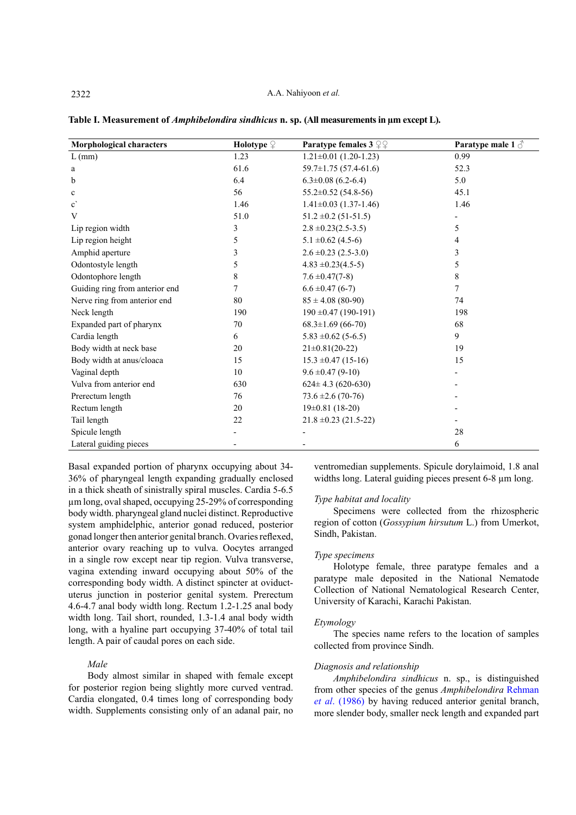| Morphological characters       | <b>Holotype</b> $\mathcal{Q}$ | <b>Paratype females 3</b> $22$ | Paratype male 1 $\delta$ |
|--------------------------------|-------------------------------|--------------------------------|--------------------------|
| $L$ (mm)                       | 1.23                          | $1.21 \pm 0.01$ (1.20-1.23)    | 0.99                     |
| a                              | 61.6                          | $59.7 \pm 1.75$ (57.4-61.6)    | 52.3                     |
| b                              | 6.4                           | $6.3 \pm 0.08$ (6.2-6.4)       | 5.0                      |
| $\mathbf c$                    | 56                            | $55.2 \pm 0.52$ (54.8-56)      | 45.1                     |
| $\mathbf{c}^{\prime}$          | 1.46                          | $1.41 \pm 0.03$ (1.37-1.46)    | 1.46                     |
| V                              | 51.0                          | $51.2 \pm 0.2$ (51-51.5)       |                          |
| Lip region width               | 3                             | $2.8 \pm 0.23(2.5-3.5)$        | 5                        |
| Lip region height              | 5                             | $5.1 \pm 0.62$ (4.5-6)         | 4                        |
| Amphid aperture                | 3                             | $2.6 \pm 0.23$ (2.5-3.0)       | 3                        |
| Odontostyle length             | 5                             | $4.83 \pm 0.23(4.5-5)$         | 5                        |
| Odontophore length             | $\,$ 8 $\,$                   | $7.6 \pm 0.47(7-8)$            | 8                        |
| Guiding ring from anterior end | 7                             | $6.6 \pm 0.47$ (6-7)           | 7                        |
| Nerve ring from anterior end   | 80                            | $85 \pm 4.08$ (80-90)          | 74                       |
| Neck length                    | 190                           | $190 \pm 0.47$ (190-191)       | 198                      |
| Expanded part of pharynx       | 70                            | $68.3 \pm 1.69$ (66-70)        | 68                       |
| Cardia length                  | 6                             | $5.83 \pm 0.62$ (5-6.5)        | 9                        |
| Body width at neck base        | 20                            | $21 \pm 0.81(20 - 22)$         | 19                       |
| Body width at anus/cloaca      | 15                            | $15.3 \pm 0.47 (15-16)$        | 15                       |
| Vaginal depth                  | 10                            | $9.6 \pm 0.47$ (9-10)          |                          |
| Vulva from anterior end        | 630                           | $624 \pm 4.3$ (620-630)        |                          |
| Prerectum length               | 76                            | $73.6 \pm 2.6(70-76)$          |                          |
| Rectum length                  | 20                            | $19\pm0.81$ (18-20)            |                          |
| Tail length                    | 22                            | $21.8 \pm 0.23$ (21.5-22)      |                          |
| Spicule length                 |                               |                                | 28                       |
| Lateral guiding pieces         |                               |                                | 6                        |

<span id="page-1-0"></span>**Table I. Measurement of** *Amphibelondira sindhicus* **n. sp. (All measurements in µm except L).**

Basal expanded portion of pharynx occupying about 34- 36% of pharyngeal length expanding gradually enclosed in a thick sheath of sinistrally spiral muscles. Cardia 5-6.5 µm long, oval shaped, occupying 25-29% of corresponding body width. pharyngeal gland nuclei distinct. Reproductive system amphidelphic, anterior gonad reduced, posterior gonad longer then anterior genital branch. Ovaries reflexed, anterior ovary reaching up to vulva. Oocytes arranged in a single row except near tip region. Vulva transverse, vagina extending inward occupying about 50% of the corresponding body width. A distinct spincter at oviductuterus junction in posterior genital system. Prerectum 4.6-4.7 anal body width long. Rectum 1.2-1.25 anal body width long. Tail short, rounded, 1.3-1.4 anal body width long, with a hyaline part occupying 37-40% of total tail length. A pair of caudal pores on each side.

#### *Male*

Body almost similar in shaped with female except for posterior region being slightly more curved ventrad. Cardia elongated, 0.4 times long of corresponding body width. Supplements consisting only of an adanal pair, no ventromedian supplements. Spicule dorylaimoid, 1.8 anal widths long. Lateral guiding pieces present 6-8 µm long.

#### *Type habitat and locality*

Specimens were collected from the rhizospheric region of cotton (*Gossypium hirsutum* L.) from Umerkot, Sindh, Pakistan.

## *Type specimens*

Holotype female, three paratype females and a paratype male deposited in the National Nematode Collection of National Nematological Research Center, University of Karachi, Karachi Pakistan.

#### *Etymology*

The species name refers to the location of samples collected from province Sindh.

#### *Diagnosis and relationship*

*Amphibelondira sindhicus* n. sp., is distinguished from other species of the genus *Amphibelondira* [Rehman](#page-4-0) *et al*[. \(1986](#page-4-0)) by having reduced anterior genital branch, more slender body, smaller neck length and expanded part

2322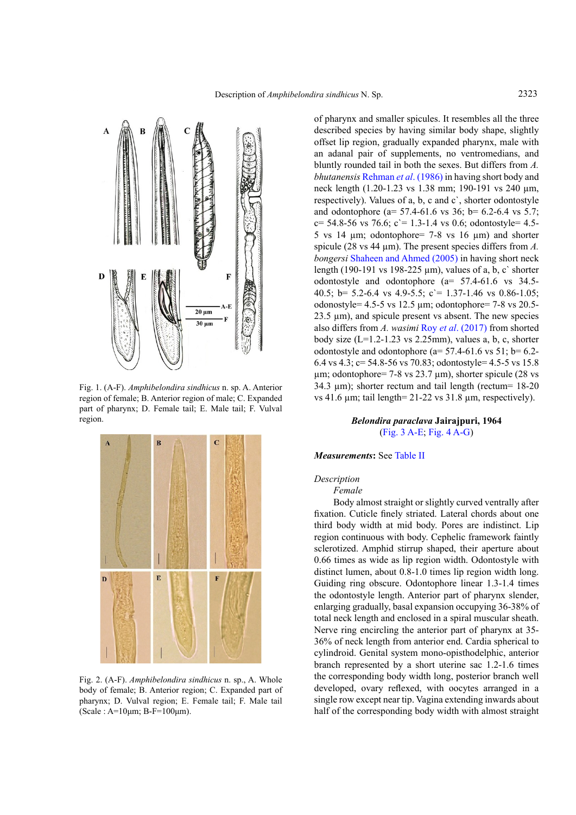

<span id="page-2-0"></span>Fig. 1. (A-F). *Amphibelondira sindhicus* n. sp. A. Anterior region of female; B. Anterior region of male; C. Expanded part of pharynx; D. Female tail; E. Male tail; F. Vulval region.



<span id="page-2-1"></span>Fig. 2. (A-F). *Amphibelondira sindhicus* n. sp., A. Whole body of female; B. Anterior region; C. Expanded part of pharynx; D. Vulval region; E. Female tail; F. Male tail  $(Scale : A=10\mu m; B-F=100\mu m)$ 

of pharynx and smaller spicules. It resembles all the three described species by having similar body shape, slightly offset lip region, gradually expanded pharynx, male with an adanal pair of supplements, no ventromedians, and bluntly rounded tail in both the sexes. But differs from *A. bhutanensis* [Rehman](#page-4-0) *et al*. (1986) in having short body and neck length (1.20-1.23 vs 1.38 mm; 190-191 vs 240 µm, respectively). Values of a, b, c and c`, shorter odontostyle and odontophore (a=  $57.4-61.6$  vs  $36$ ; b=  $6.2-6.4$  vs  $5.7$ ;  $c= 54.8-56$  vs 76.6;  $c= 1.3-1.4$  vs 0.6; odontostyle= 4.5-5 vs 14  $\mu$ m; odontophore= 7-8 vs 16  $\mu$ m) and shorter spicule (28 vs 44 µm). The present species differs from *A. bongersi* [Shaheen and Ahmed \(2005](#page-4-1)) in having short neck length (190-191 vs 198-225 µm), values of a, b, c` shorter odontostyle and odontophore (a= 57.4-61.6 vs 34.5- 40.5; b= 5.2-6.4 vs 4.9-5.5; c`= 1.37-1.46 vs 0.86-1.05; odonostyle=  $4.5-5$  vs  $12.5$  µm; odontophore=  $7-8$  vs  $20.5-$ 23.5 µm), and spicule present vs absent. The new species also differs from *A. wasimi* Roy *et al*[. \(2017](#page-4-2)) from shorted body size  $(L=1.2-1.23$  vs  $2.25$ mm), values a, b, c, shorter odontostyle and odontophore ( $a= 57.4-61.6$  vs  $51$ ;  $b= 6.2-$ 6.4 vs 4.3; c= 54.8-56 vs 70.83; odontostyle= 4.5-5 vs 15.8  $\mu$ m; odontophore= 7-8 vs 23.7  $\mu$ m), shorter spicule (28 vs 34.3 µm); shorter rectum and tail length (rectum= 18-20 vs 41.6  $\mu$ m; tail length= 21-22 vs 31.8  $\mu$ m, respectively).

## *Belondira paraclava* **Jairajpuri, 1964** ([Fig. 3 A-E](#page-3-0); [Fig. 4 A-G](#page-3-1))

#### *Measurements***:** See [Table II](#page-3-2)

## *Description*

*Female*

Body almost straight or slightly curved ventrally after fixation. Cuticle finely striated. Lateral chords about one third body width at mid body. Pores are indistinct. Lip region continuous with body. Cephelic framework faintly sclerotized. Amphid stirrup shaped, their aperture about 0.66 times as wide as lip region width. Odontostyle with distinct lumen, about 0.8-1.0 times lip region width long. Guiding ring obscure. Odontophore linear 1.3-1.4 times the odontostyle length. Anterior part of pharynx slender, enlarging gradually, basal expansion occupying 36-38% of total neck length and enclosed in a spiral muscular sheath. Nerve ring encircling the anterior part of pharynx at 35- 36% of neck length from anterior end. Cardia spherical to cylindroid. Genital system mono-opisthodelphic, anterior branch represented by a short uterine sac 1.2-1.6 times the corresponding body width long, posterior branch well developed, ovary reflexed, with oocytes arranged in a single row except near tip. Vagina extending inwards about half of the corresponding body width with almost straight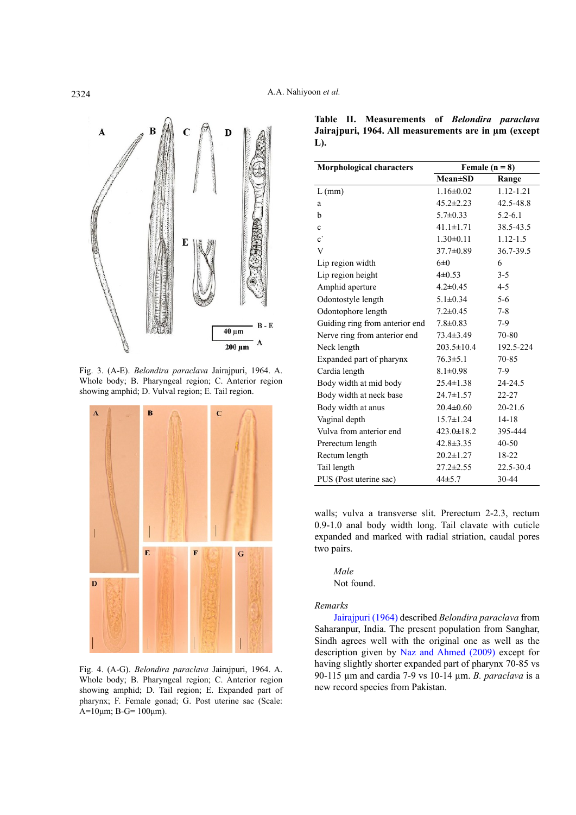

<span id="page-3-0"></span>Fig. 3. (A-E). *Belondira paraclava* Jairajpuri, 1964. A. Whole body; B. Pharyngeal region; C. Anterior region showing amphid; D. Vulval region; E. Tail region.



<span id="page-3-1"></span>Fig. 4. (A-G). *Belondira paraclava* Jairajpuri, 1964. A. Whole body; B. Pharyngeal region; C. Anterior region showing amphid; D. Tail region; E. Expanded part of pharynx; F. Female gonad; G. Post uterine sac (Scale: A=10μm; B-G=  $100μm$ ).

<span id="page-3-2"></span>**Table II. Measurements of** *Belondira paraclava* **Jairajpuri, 1964. All measurements are in µm (except L).**

| <b>Morphological characters</b> | Female $(n = 8)$ |              |
|---------------------------------|------------------|--------------|
|                                 | $Mean \pm SD$    | Range        |
| $L$ (mm)                        | $1.16 \pm 0.02$  | 1.12-1.21    |
| a                               | $45.2 \pm 2.23$  | 42.5-48.8    |
| b                               | $5.7\pm 0.33$    | $5.2 - 6.1$  |
| $\mathbf c$                     | $41.1 \pm 1.71$  | 38.5-43.5    |
| $\mathbf{c}^{\mathbf{v}}$       | $1.30 \pm 0.11$  | $1.12 - 1.5$ |
| V                               | $37.7 \pm 0.89$  | 36.7-39.5    |
| Lip region width                | 6±0              | 6            |
| Lip region height               | $4\pm 0.53$      | $3 - 5$      |
| Amphid aperture                 | $4.2 \pm 0.45$   | $4 - 5$      |
| Odontostyle length              | $5.1 \pm 0.34$   | $5 - 6$      |
| Odontophore length              | $7.2 \pm 0.45$   | $7 - 8$      |
| Guiding ring from anterior end  | $7.8 \pm 0.83$   | $7-9$        |
| Nerve ring from anterior end    | 73.4±3.49        | 70-80        |
| Neck length                     | $203.5 \pm 10.4$ | 192.5-224    |
| Expanded part of pharynx        | $76.3 \pm 5.1$   | 70-85        |
| Cardia length                   | $8.1 \pm 0.98$   | $7-9$        |
| Body width at mid body          | $25.4 \pm 1.38$  | 24-24.5      |
| Body width at neck base         | $24.7 \pm 1.57$  | 22-27        |
| Body width at anus              | $20.4 \pm 0.60$  | $20 - 21.6$  |
| Vaginal depth                   | $15.7 \pm 1.24$  | $14 - 18$    |
| Vulva from anterior end         | $423.0 \pm 18.2$ | 395-444      |
| Prerectum length                | $42.8 \pm 3.35$  | $40 - 50$    |
| Rectum length                   | $20.2 \pm 1.27$  | 18-22        |
| Tail length                     | $27.2 \pm 2.55$  | 22.5-30.4    |
| PUS (Post uterine sac)          | 44±5.7           | 30-44        |

walls; vulva a transverse slit. Prerectum 2-2.3, rectum 0.9-1.0 anal body width long. Tail clavate with cuticle expanded and marked with radial striation, caudal pores two pairs.

*Male* Not found.

#### *Remarks*

[Jairajpuri \(1964](#page-4-3)) described *Belondira paraclava* from Saharanpur, India. The present population from Sanghar, Sindh agrees well with the original one as well as the description given by [Naz and Ahmed \(2009\)](#page-4-7) except for having slightly shorter expanded part of pharynx 70-85 vs 90-115 µm and cardia 7-9 vs 10-14 µm. *B. paraclava* is a new record species from Pakistan.